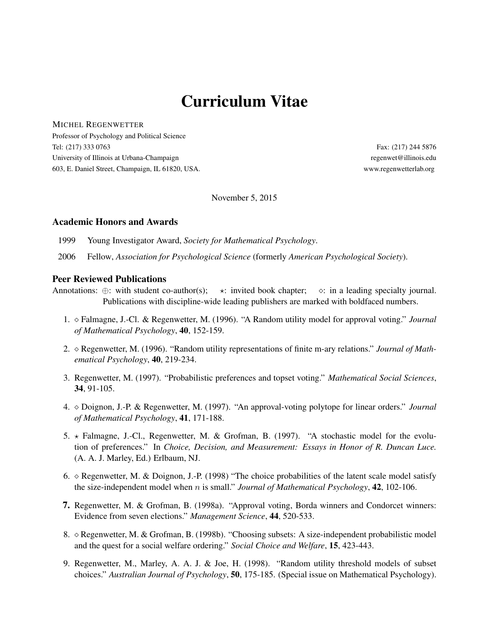# Curriculum Vitae

MICHEL REGENWETTER

Professor of Psychology and Political Science Tel: (217) 333 0763 Fax: (217) 244 5876 University of Illinois at Urbana-Champaign regenwet@illinois.edu 603, E. Daniel Street, Champaign, IL 61820, USA. www.regenwetterlab.org

November 5, 2015

### Academic Honors and Awards

1999 Young Investigator Award, *Society for Mathematical Psychology*.

2006 Fellow, *Association for Psychological Science* (formerly *American Psychological Society*).

### Peer Reviewed Publications

Annotations:  $\oplus$ : with student co-author(s);  $\star$ : invited book chapter;  $\circ$ : in a leading specialty journal. Publications with discipline-wide leading publishers are marked with boldfaced numbers.

- 1. Falmagne, J.-Cl. & Regenwetter, M. (1996). "A Random utility model for approval voting." *Journal of Mathematical Psychology*, 40, 152-159.
- 2. Regenwetter, M. (1996). "Random utility representations of finite m-ary relations." *Journal of Mathematical Psychology*, 40, 219-234.
- 3. Regenwetter, M. (1997). "Probabilistic preferences and topset voting." *Mathematical Social Sciences*, 34, 91-105.
- 4. Doignon, J.-P. & Regenwetter, M. (1997). "An approval-voting polytope for linear orders." *Journal of Mathematical Psychology*, 41, 171-188.
- 5.  $\star$  Falmagne, J.-Cl., Regenwetter, M. & Grofman, B. (1997). "A stochastic model for the evolution of preferences." In *Choice, Decision, and Measurement: Essays in Honor of R. Duncan Luce.* (A. A. J. Marley, Ed.) Erlbaum, NJ.
- 6.  $\circ$  Regenwetter, M. & Doignon, J.-P. (1998) "The choice probabilities of the latent scale model satisfy the size-independent model when n is small." *Journal of Mathematical Psychology*, 42, 102-106.
- 7. Regenwetter, M. & Grofman, B. (1998a). "Approval voting, Borda winners and Condorcet winners: Evidence from seven elections." *Management Science*, 44, 520-533.
- 8.  $\Diamond$  Regenwetter, M. & Grofman, B. (1998b). "Choosing subsets: A size-independent probabilistic model and the quest for a social welfare ordering." *Social Choice and Welfare*, 15, 423-443.
- 9. Regenwetter, M., Marley, A. A. J. & Joe, H. (1998). "Random utility threshold models of subset choices." *Australian Journal of Psychology*, 50, 175-185. (Special issue on Mathematical Psychology).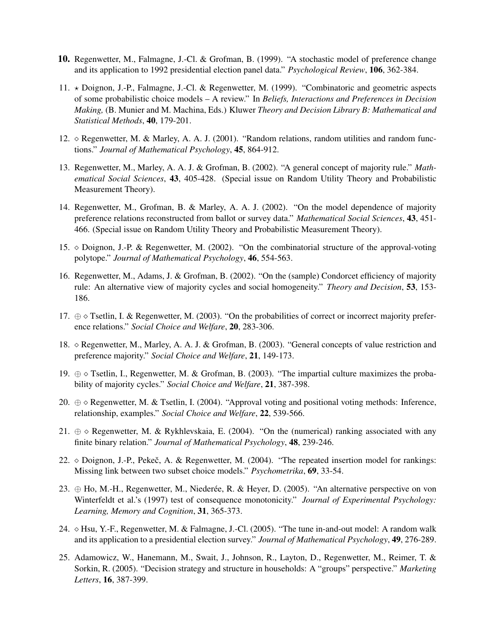- 10. Regenwetter, M., Falmagne, J.-Cl. & Grofman, B. (1999). "A stochastic model of preference change and its application to 1992 presidential election panel data." *Psychological Review*, 106, 362-384.
- 11.  $\star$  Doignon, J.-P., Falmagne, J.-Cl. & Regenwetter, M. (1999). "Combinatoric and geometric aspects of some probabilistic choice models – A review." In *Beliefs, Interactions and Preferences in Decision Making,* (B. Munier and M. Machina, Eds.) Kluwer *Theory and Decision Library B: Mathematical and Statistical Methods*, 40, 179-201.
- 12.  $\diamond$  Regenwetter, M. & Marley, A. A. J. (2001). "Random relations, random utilities and random functions." *Journal of Mathematical Psychology*, 45, 864-912.
- 13. Regenwetter, M., Marley, A. A. J. & Grofman, B. (2002). "A general concept of majority rule." *Mathematical Social Sciences*, 43, 405-428. (Special issue on Random Utility Theory and Probabilistic Measurement Theory).
- 14. Regenwetter, M., Grofman, B. & Marley, A. A. J. (2002). "On the model dependence of majority preference relations reconstructed from ballot or survey data." *Mathematical Social Sciences*, 43, 451- 466. (Special issue on Random Utility Theory and Probabilistic Measurement Theory).
- 15. Doignon, J.-P. & Regenwetter, M. (2002). "On the combinatorial structure of the approval-voting polytope." *Journal of Mathematical Psychology*, 46, 554-563.
- 16. Regenwetter, M., Adams, J. & Grofman, B. (2002). "On the (sample) Condorcet efficiency of majority rule: An alternative view of majority cycles and social homogeneity." *Theory and Decision*, 53, 153- 186.
- 17.  $\oplus \diamond$  Tsetlin, I. & Regenwetter, M. (2003). "On the probabilities of correct or incorrect majority preference relations." *Social Choice and Welfare*, 20, 283-306.
- 18. Regenwetter, M., Marley, A. A. J. & Grofman, B. (2003). "General concepts of value restriction and preference majority." *Social Choice and Welfare*, 21, 149-173.
- 19. ⊕ Tsetlin, I., Regenwetter, M. & Grofman, B. (2003). "The impartial culture maximizes the probability of majority cycles." *Social Choice and Welfare*, 21, 387-398.
- 20.  $\oplus \diamond$  Regenwetter, M. & Tsetlin, I. (2004). "Approval voting and positional voting methods: Inference, relationship, examples." *Social Choice and Welfare*, 22, 539-566.
- 21.  $\oplus \circ$  Regenwetter, M. & Rykhlevskaia, E. (2004). "On the (numerical) ranking associated with any finite binary relation." *Journal of Mathematical Psychology*, 48, 239-246.
- 22.  $\diamond$  Doignon, J.-P., Pekeč, A. & Regenwetter, M. (2004). "The repeated insertion model for rankings: Missing link between two subset choice models." *Psychometrika*, 69, 33-54.
- 23.  $\oplus$  Ho, M.-H., Regenwetter, M., Niederée, R. & Heyer, D. (2005). "An alternative perspective on von Winterfeldt et al.'s (1997) test of consequence monotonicity." *Journal of Experimental Psychology: Learning, Memory and Cognition*, 31, 365-373.
- 24.  $\lozenge$  Hsu, Y.-F., Regenwetter, M. & Falmagne, J.-Cl. (2005). "The tune in-and-out model: A random walk and its application to a presidential election survey." *Journal of Mathematical Psychology*, 49, 276-289.
- 25. Adamowicz, W., Hanemann, M., Swait, J., Johnson, R., Layton, D., Regenwetter, M., Reimer, T. & Sorkin, R. (2005). "Decision strategy and structure in households: A "groups" perspective." *Marketing Letters*, 16, 387-399.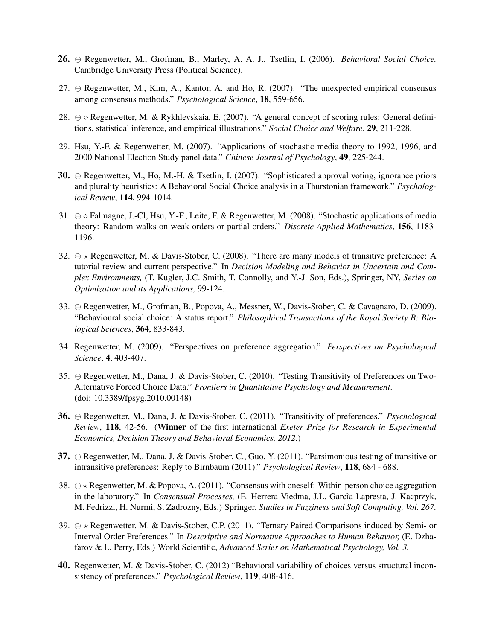- 26. ⊕ Regenwetter, M., Grofman, B., Marley, A. A. J., Tsetlin, I. (2006). *Behavioral Social Choice.* Cambridge University Press (Political Science).
- 27.  $\oplus$  Regenwetter, M., Kim, A., Kantor, A. and Ho, R. (2007). "The unexpected empirical consensus among consensus methods." *Psychological Science*, 18, 559-656.
- 28.  $\oplus \diamond$  Regenwetter, M. & Rykhlevskaia, E. (2007). "A general concept of scoring rules: General definitions, statistical inference, and empirical illustrations." *Social Choice and Welfare*, 29, 211-228.
- 29. Hsu, Y.-F. & Regenwetter, M. (2007). "Applications of stochastic media theory to 1992, 1996, and 2000 National Election Study panel data." *Chinese Journal of Psychology*, 49, 225-244.
- 30. ⊕ Regenwetter, M., Ho, M.-H. & Tsetlin, I. (2007). "Sophisticated approval voting, ignorance priors and plurality heuristics: A Behavioral Social Choice analysis in a Thurstonian framework." *Psychological Review*, 114, 994-1014.
- 31. ⊕ Falmagne, J.-Cl, Hsu, Y.-F., Leite, F. & Regenwetter, M. (2008). "Stochastic applications of media theory: Random walks on weak orders or partial orders." *Discrete Applied Mathematics*, 156, 1183- 1196.
- 32.  $\oplus \star$  Regenwetter, M. & Davis-Stober, C. (2008). "There are many models of transitive preference: A tutorial review and current perspective." In *Decision Modeling and Behavior in Uncertain and Complex Environments,* (T. Kugler, J.C. Smith, T. Connolly, and Y.-J. Son, Eds.), Springer, NY, *Series on Optimization and its Applications,* 99-124.
- 33. ⊕ Regenwetter, M., Grofman, B., Popova, A., Messner, W., Davis-Stober, C. & Cavagnaro, D. (2009). "Behavioural social choice: A status report." *Philosophical Transactions of the Royal Society B: Biological Sciences*, 364, 833-843.
- 34. Regenwetter, M. (2009). "Perspectives on preference aggregation." *Perspectives on Psychological Science*, 4, 403-407.
- 35. ⊕ Regenwetter, M., Dana, J. & Davis-Stober, C. (2010). "Testing Transitivity of Preferences on Two-Alternative Forced Choice Data." *Frontiers in Quantitative Psychology and Measurement*. (doi: 10.3389/fpsyg.2010.00148)
- 36. ⊕ Regenwetter, M., Dana, J. & Davis-Stober, C. (2011). "Transitivity of preferences." *Psychological Review*, 118, 42-56. (Winner of the first international *Exeter Prize for Research in Experimental Economics, Decision Theory and Behavioral Economics, 2012.*)
- 37.  $\oplus$  Regenwetter, M., Dana, J. & Davis-Stober, C., Guo, Y. (2011). "Parsimonious testing of transitive or intransitive preferences: Reply to Birnbaum (2011)." *Psychological Review*, 118, 684 - 688.
- 38.  $\oplus \star$  Regenwetter, M. & Popova, A. (2011). "Consensus with oneself: Within-person choice aggregation in the laboratory." In *Consensual Processes*, (E. Herrera-Viedma, J.L. Garcìa-Lapresta, J. Kacprzyk, M. Fedrizzi, H. Nurmi, S. Zadrozny, Eds.) Springer, *Studies in Fuzziness and Soft Computing, Vol. 267.*
- 39.  $\oplus \star$  Regenwetter, M. & Davis-Stober, C.P. (2011). "Ternary Paired Comparisons induced by Semi- or Interval Order Preferences." In *Descriptive and Normative Approaches to Human Behavior,* (E. Dzhafarov & L. Perry, Eds.) World Scientific, *Advanced Series on Mathematical Psychology, Vol. 3.*
- 40. Regenwetter, M. & Davis-Stober, C. (2012) "Behavioral variability of choices versus structural inconsistency of preferences." *Psychological Review*, 119, 408-416.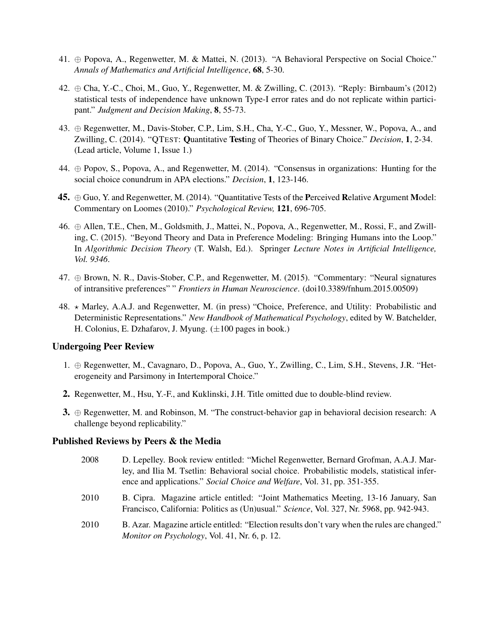- 41. ⊕ Popova, A., Regenwetter, M. & Mattei, N. (2013). "A Behavioral Perspective on Social Choice." *Annals of Mathematics and Artificial Intelligence*, 68, 5-30.
- 42. ⊕ Cha, Y.-C., Choi, M., Guo, Y., Regenwetter, M. & Zwilling, C. (2013). "Reply: Birnbaum's (2012) statistical tests of independence have unknown Type-I error rates and do not replicate within participant." *Judgment and Decision Making*, 8, 55-73.
- 43. ⊕ Regenwetter, M., Davis-Stober, C.P., Lim, S.H., Cha, Y.-C., Guo, Y., Messner, W., Popova, A., and Zwilling, C. (2014). "QTEST: Quantitative Testing of Theories of Binary Choice." *Decision*, 1, 2-34. (Lead article, Volume 1, Issue 1.)
- 44. ⊕ Popov, S., Popova, A., and Regenwetter, M. (2014). "Consensus in organizations: Hunting for the social choice conundrum in APA elections." *Decision*, 1, 123-146.
- 45.  $\oplus$  Guo, Y. and Regenwetter, M. (2014). "Quantitative Tests of the Perceived Relative Argument Model: Commentary on Loomes (2010)." *Psychological Review,* 121, 696-705.
- 46. ⊕ Allen, T.E., Chen, M., Goldsmith, J., Mattei, N., Popova, A., Regenwetter, M., Rossi, F., and Zwilling, C. (2015). "Beyond Theory and Data in Preference Modeling: Bringing Humans into the Loop." In *Algorithmic Decision Theory* (T. Walsh, Ed.). Springer *Lecture Notes in Artificial Intelligence, Vol. 9346*.
- 47. ⊕ Brown, N. R., Davis-Stober, C.P., and Regenwetter, M. (2015). "Commentary: "Neural signatures of intransitive preferences" " *Frontiers in Human Neuroscience*. (doi10.3389/fnhum.2015.00509)
- $48. \times$  Marley, A.A.J. and Regenwetter, M. (in press) "Choice, Preference, and Utility: Probabilistic and Deterministic Representations." *New Handbook of Mathematical Psychology*, edited by W. Batchelder, H. Colonius, E. Dzhafarov, J. Myung.  $(\pm 100$  pages in book.)

### Undergoing Peer Review

- 1. ⊕ Regenwetter, M., Cavagnaro, D., Popova, A., Guo, Y., Zwilling, C., Lim, S.H., Stevens, J.R. "Heterogeneity and Parsimony in Intertemporal Choice."
- 2. Regenwetter, M., Hsu, Y.-F., and Kuklinski, J.H. Title omitted due to double-blind review.
- 3.  $\oplus$  Regenwetter, M. and Robinson, M. "The construct-behavior gap in behavioral decision research: A challenge beyond replicability."

### Published Reviews by Peers & the Media

- 2008 D. Lepelley. Book review entitled: "Michel Regenwetter, Bernard Grofman, A.A.J. Marley, and Ilia M. Tsetlin: Behavioral social choice. Probabilistic models, statistical inference and applications." *Social Choice and Welfare*, Vol. 31, pp. 351-355.
- 2010 B. Cipra. Magazine article entitled: "Joint Mathematics Meeting, 13-16 January, San Francisco, California: Politics as (Un)usual." *Science*, Vol. 327, Nr. 5968, pp. 942-943.
- 2010 B. Azar. Magazine article entitled: "Election results don't vary when the rules are changed." *Monitor on Psychology*, Vol. 41, Nr. 6, p. 12.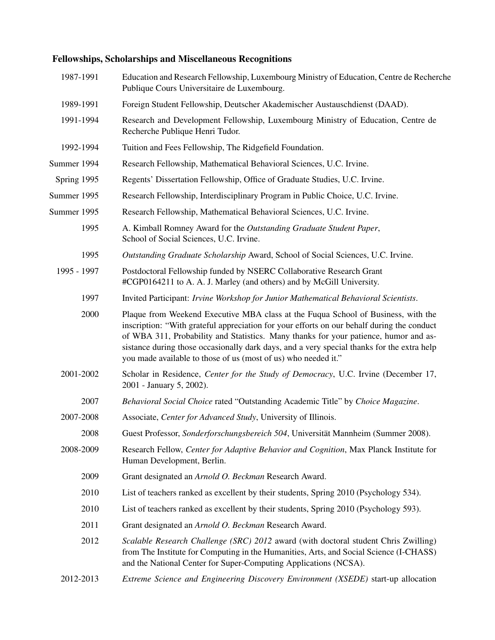### Fellowships, Scholarships and Miscellaneous Recognitions

| 1987-1991   | Education and Research Fellowship, Luxembourg Ministry of Education, Centre de Recherche<br>Publique Cours Universitaire de Luxembourg.                                                                                                                                                                                                                                                                                                 |
|-------------|-----------------------------------------------------------------------------------------------------------------------------------------------------------------------------------------------------------------------------------------------------------------------------------------------------------------------------------------------------------------------------------------------------------------------------------------|
| 1989-1991   | Foreign Student Fellowship, Deutscher Akademischer Austauschdienst (DAAD).                                                                                                                                                                                                                                                                                                                                                              |
| 1991-1994   | Research and Development Fellowship, Luxembourg Ministry of Education, Centre de<br>Recherche Publique Henri Tudor.                                                                                                                                                                                                                                                                                                                     |
| 1992-1994   | Tuition and Fees Fellowship, The Ridgefield Foundation.                                                                                                                                                                                                                                                                                                                                                                                 |
| Summer 1994 | Research Fellowship, Mathematical Behavioral Sciences, U.C. Irvine.                                                                                                                                                                                                                                                                                                                                                                     |
| Spring 1995 | Regents' Dissertation Fellowship, Office of Graduate Studies, U.C. Irvine.                                                                                                                                                                                                                                                                                                                                                              |
| Summer 1995 | Research Fellowship, Interdisciplinary Program in Public Choice, U.C. Irvine.                                                                                                                                                                                                                                                                                                                                                           |
| Summer 1995 | Research Fellowship, Mathematical Behavioral Sciences, U.C. Irvine.                                                                                                                                                                                                                                                                                                                                                                     |
| 1995        | A. Kimball Romney Award for the Outstanding Graduate Student Paper,<br>School of Social Sciences, U.C. Irvine.                                                                                                                                                                                                                                                                                                                          |
| 1995        | Outstanding Graduate Scholarship Award, School of Social Sciences, U.C. Irvine.                                                                                                                                                                                                                                                                                                                                                         |
| 1995 - 1997 | Postdoctoral Fellowship funded by NSERC Collaborative Research Grant<br>#CGP0164211 to A. A. J. Marley (and others) and by McGill University.                                                                                                                                                                                                                                                                                           |
| 1997        | Invited Participant: Irvine Workshop for Junior Mathematical Behavioral Scientists.                                                                                                                                                                                                                                                                                                                                                     |
| 2000        | Plaque from Weekend Executive MBA class at the Fuqua School of Business, with the<br>inscription: "With grateful appreciation for your efforts on our behalf during the conduct<br>of WBA 311, Probability and Statistics. Many thanks for your patience, humor and as-<br>sistance during those occasionally dark days, and a very special thanks for the extra help<br>you made available to those of us (most of us) who needed it." |
| 2001-2002   | Scholar in Residence, Center for the Study of Democracy, U.C. Irvine (December 17,<br>2001 - January 5, 2002).                                                                                                                                                                                                                                                                                                                          |
| 2007        | Behavioral Social Choice rated "Outstanding Academic Title" by Choice Magazine.                                                                                                                                                                                                                                                                                                                                                         |
| 2007-2008   | Associate, Center for Advanced Study, University of Illinois.                                                                                                                                                                                                                                                                                                                                                                           |
| 2008        | Guest Professor, Sonderforschungsbereich 504, Universität Mannheim (Summer 2008).                                                                                                                                                                                                                                                                                                                                                       |
| 2008-2009   | Research Fellow, Center for Adaptive Behavior and Cognition, Max Planck Institute for<br>Human Development, Berlin.                                                                                                                                                                                                                                                                                                                     |
| 2009        | Grant designated an Arnold O. Beckman Research Award.                                                                                                                                                                                                                                                                                                                                                                                   |
| 2010        | List of teachers ranked as excellent by their students, Spring 2010 (Psychology 534).                                                                                                                                                                                                                                                                                                                                                   |
| 2010        | List of teachers ranked as excellent by their students, Spring 2010 (Psychology 593).                                                                                                                                                                                                                                                                                                                                                   |
| 2011        | Grant designated an Arnold O. Beckman Research Award.                                                                                                                                                                                                                                                                                                                                                                                   |
| 2012        | Scalable Research Challenge (SRC) 2012 award (with doctoral student Chris Zwilling)<br>from The Institute for Computing in the Humanities, Arts, and Social Science (I-CHASS)<br>and the National Center for Super-Computing Applications (NCSA).                                                                                                                                                                                       |
| 2012-2013   | Extreme Science and Engineering Discovery Environment (XSEDE) start-up allocation                                                                                                                                                                                                                                                                                                                                                       |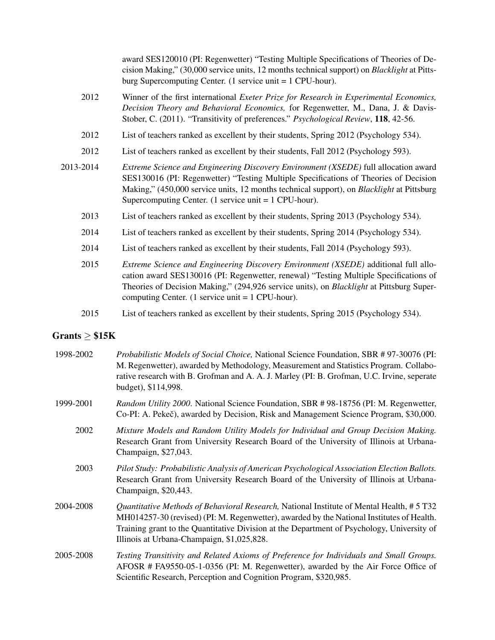|           | award SES120010 (PI: Regenwetter) "Testing Multiple Specifications of Theories of De-<br>cision Making," (30,000 service units, 12 months technical support) on <i>Blacklight</i> at Pitts-<br>burg Supercomputing Center. $(1 \text{ service unit} = 1 \text{ CPU-hour}).$                                                                |
|-----------|--------------------------------------------------------------------------------------------------------------------------------------------------------------------------------------------------------------------------------------------------------------------------------------------------------------------------------------------|
| 2012      | Winner of the first international Exeter Prize for Research in Experimental Economics,<br>Decision Theory and Behavioral Economics, for Regenwetter, M., Dana, J. & Davis-<br>Stober, C. (2011). "Transitivity of preferences." Psychological Review, 118, 42-56.                                                                          |
| 2012      | List of teachers ranked as excellent by their students, Spring 2012 (Psychology 534).                                                                                                                                                                                                                                                      |
| 2012      | List of teachers ranked as excellent by their students, Fall 2012 (Psychology 593).                                                                                                                                                                                                                                                        |
| 2013-2014 | Extreme Science and Engineering Discovery Environment (XSEDE) full allocation award<br>SES130016 (PI: Regenwetter) "Testing Multiple Specifications of Theories of Decision<br>Making," (450,000 service units, 12 months technical support), on <i>Blacklight</i> at Pittsburg<br>Supercomputing Center. (1 service unit $= 1$ CPU-hour). |
| 2013      | List of teachers ranked as excellent by their students, Spring 2013 (Psychology 534).                                                                                                                                                                                                                                                      |
| 2014      | List of teachers ranked as excellent by their students, Spring 2014 (Psychology 534).                                                                                                                                                                                                                                                      |
| 2014      | List of teachers ranked as excellent by their students, Fall 2014 (Psychology 593).                                                                                                                                                                                                                                                        |
| 2015      | Extreme Science and Engineering Discovery Environment (XSEDE) additional full allo-<br>cation award SES130016 (PI: Regenwetter, renewal) "Testing Multiple Specifications of<br>Theories of Decision Making," (294,926 service units), on Blacklight at Pittsburg Super-<br>computing Center. (1 service unit $= 1$ CPU-hour).             |
| 2015      | List of teachers ranked as excellent by their students, Spring 2015 (Psychology 534).                                                                                                                                                                                                                                                      |

## Grants  $\geq$  \$15K

| 1998-2002 | Probabilistic Models of Social Choice, National Science Foundation, SBR # 97-30076 (PI:<br>M. Regenwetter), awarded by Methodology, Measurement and Statistics Program. Collabo-<br>rative research with B. Grofman and A. A. J. Marley (PI: B. Grofman, U.C. Irvine, seperate<br>budget), \$114,998.                              |
|-----------|------------------------------------------------------------------------------------------------------------------------------------------------------------------------------------------------------------------------------------------------------------------------------------------------------------------------------------|
| 1999-2001 | Random Utility 2000. National Science Foundation, SBR #98-18756 (PI: M. Regenwetter,<br>Co-PI: A. Pekeč), awarded by Decision, Risk and Management Science Program, \$30,000.                                                                                                                                                      |
| 2002      | Mixture Models and Random Utility Models for Individual and Group Decision Making.<br>Research Grant from University Research Board of the University of Illinois at Urbana-<br>Champaign, \$27,043.                                                                                                                               |
| 2003      | Pilot Study: Probabilistic Analysis of American Psychological Association Election Ballots.<br>Research Grant from University Research Board of the University of Illinois at Urbana-<br>Champaign, \$20,443.                                                                                                                      |
| 2004-2008 | Quantitative Methods of Behavioral Research, National Institute of Mental Health, # 5 T32<br>MH014257-30 (revised) (PI: M. Regenwetter), awarded by the National Institutes of Health.<br>Training grant to the Quantitative Division at the Department of Psychology, University of<br>Illinois at Urbana-Champaign, \$1,025,828. |
| 2005-2008 | Testing Transitivity and Related Axioms of Preference for Individuals and Small Groups.<br>AFOSR # FA9550-05-1-0356 (PI: M. Regenwetter), awarded by the Air Force Office of<br>Scientific Research, Perception and Cognition Program, \$320,985.                                                                                  |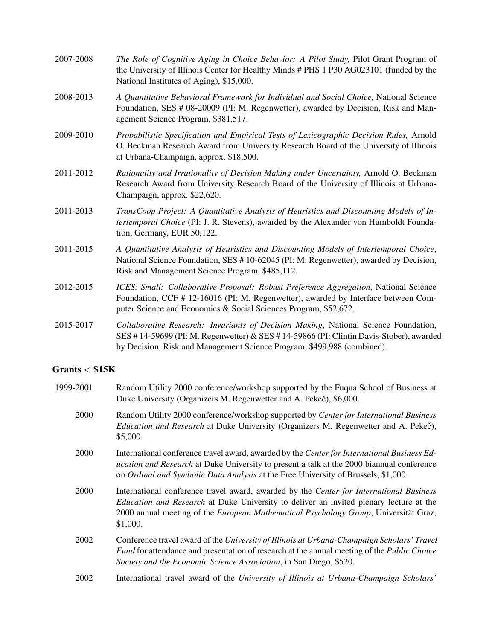| 2007-2008 | The Role of Cognitive Aging in Choice Behavior: A Pilot Study, Pilot Grant Program of<br>the University of Illinois Center for Healthy Minds # PHS 1 P30 AG023101 (funded by the<br>National Institutes of Aging), \$15,000.                             |
|-----------|----------------------------------------------------------------------------------------------------------------------------------------------------------------------------------------------------------------------------------------------------------|
| 2008-2013 | A Quantitative Behavioral Framework for Individual and Social Choice, National Science<br>Foundation, SES # 08-20009 (PI: M. Regenwetter), awarded by Decision, Risk and Man-<br>agement Science Program, \$381,517.                                     |
| 2009-2010 | Probabilistic Specification and Empirical Tests of Lexicographic Decision Rules, Arnold<br>O. Beckman Research Award from University Research Board of the University of Illinois<br>at Urbana-Champaign, approx. \$18,500.                              |
| 2011-2012 | Rationality and Irrationality of Decision Making under Uncertainty, Arnold O. Beckman<br>Research Award from University Research Board of the University of Illinois at Urbana-<br>Champaign, approx. \$22,620.                                          |
| 2011-2013 | TransCoop Project: A Quantitative Analysis of Heuristics and Discounting Models of In-<br>tertemporal Choice (PI: J. R. Stevens), awarded by the Alexander von Humboldt Founda-<br>tion, Germany, EUR 50,122.                                            |
| 2011-2015 | A Quantitative Analysis of Heuristics and Discounting Models of Intertemporal Choice,<br>National Science Foundation, SES #10-62045 (PI: M. Regenwetter), awarded by Decision,<br>Risk and Management Science Program, \$485,112.                        |
| 2012-2015 | ICES: Small: Collaborative Proposal: Robust Preference Aggregation, National Science<br>Foundation, CCF # 12-16016 (PI: M. Regenwetter), awarded by Interface between Com-<br>puter Science and Economics & Social Sciences Program, \$52,672.           |
| 2015-2017 | Collaborative Research: Invariants of Decision Making, National Science Foundation,<br>SES #14-59699 (PI: M. Regenwetter) & SES #14-59866 (PI: Clintin Davis-Stober), awarded<br>by Decision, Risk and Management Science Program, \$499,988 (combined). |

### $Grants < $15K$

| 1999-2001 | Random Utility 2000 conference/workshop supported by the Fuqua School of Business at<br>Duke University (Organizers M. Regenwetter and A. Pekeč), \$6,000.                                                                                                                                   |
|-----------|----------------------------------------------------------------------------------------------------------------------------------------------------------------------------------------------------------------------------------------------------------------------------------------------|
| 2000      | Random Utility 2000 conference/workshop supported by Center for International Business<br><i>Education and Research</i> at Duke University (Organizers M. Regenwetter and A. Pekeč),<br>\$5,000.                                                                                             |
| 2000      | International conference travel award, awarded by the Center for International Business Ed-<br><i>ucation and Research</i> at Duke University to present a talk at the 2000 biannual conference<br>on Ordinal and Symbolic Data Analysis at the Free University of Brussels, \$1,000.        |
| 2000      | International conference travel award, awarded by the Center for International Business<br><i>Education and Research</i> at Duke University to deliver an invited plenary lecture at the<br>2000 annual meeting of the European Mathematical Psychology Group, Universität Graz,<br>\$1,000. |
| 2002      | Conference travel award of the University of Illinois at Urbana-Champaign Scholars' Travel<br>Fund for attendance and presentation of research at the annual meeting of the <i>Public Choice</i><br>Society and the Economic Science Association, in San Diego, \$520.                       |
| 2002      | International travel award of the University of Illinois at Urbana-Champaign Scholars'                                                                                                                                                                                                       |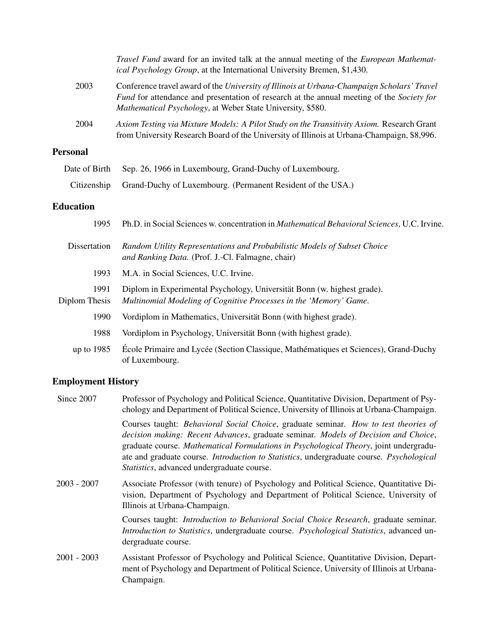|                       | Travel Fund award for an invited talk at the annual meeting of the <i>European Mathemat</i> -<br>ical Psychology Group, at the International University Bremen, \$1,430.                                                                              |
|-----------------------|-------------------------------------------------------------------------------------------------------------------------------------------------------------------------------------------------------------------------------------------------------|
| 2003                  | Conference travel award of the University of Illinois at Urbana-Champaign Scholars' Travel<br>Fund for attendance and presentation of research at the annual meeting of the Society for<br>Mathematical Psychology, at Weber State University, \$580. |
| 2004                  | Axiom Testing via Mixture Models: A Pilot Study on the Transitivity Axiom. Research Grant<br>from University Research Board of the University of Illinois at Urbana-Champaign, \$8,996.                                                               |
| <b>Personal</b>       |                                                                                                                                                                                                                                                       |
| Date of Birth         | Sep. 26, 1966 in Luxembourg, Grand-Duchy of Luxembourg.                                                                                                                                                                                               |
| Citizenship           | Grand-Duchy of Luxembourg. (Permanent Resident of the USA.)                                                                                                                                                                                           |
| <b>Education</b>      |                                                                                                                                                                                                                                                       |
| 1995                  | Ph.D. in Social Sciences w. concentration in Mathematical Behavioral Sciences, U.C. Irvine.                                                                                                                                                           |
| Dissertation          | Random Utility Representations and Probabilistic Models of Subset Choice<br>and Ranking Data. (Prof. J.-Cl. Falmagne, chair)                                                                                                                          |
| 1993                  | M.A. in Social Sciences, U.C. Irvine.                                                                                                                                                                                                                 |
| 1991<br>Diplom Thesis | Diplom in Experimental Psychology, Universität Bonn (w. highest grade).<br>Multinomial Modeling of Cognitive Processes in the 'Memory' Game.                                                                                                          |
| 1990                  | Vordiplom in Mathematics, Universität Bonn (with highest grade).                                                                                                                                                                                      |
| 1988                  | Vordiplom in Psychology, Universität Bonn (with highest grade).                                                                                                                                                                                       |
|                       |                                                                                                                                                                                                                                                       |

up to 1985 École Primaire and Lycée (Section Classique, Mathématiques et Sciences), Grand-Duchy of Luxembourg.

### Employment History

| Since 2007    | Professor of Psychology and Political Science, Quantitative Division, Department of Psy-<br>chology and Department of Political Science, University of Illinois at Urbana-Champaign.                                                                                                                                                                                                                                        |
|---------------|-----------------------------------------------------------------------------------------------------------------------------------------------------------------------------------------------------------------------------------------------------------------------------------------------------------------------------------------------------------------------------------------------------------------------------|
|               | Courses taught: Behavioral Social Choice, graduate seminar. How to test theories of<br>decision making: Recent Advances, graduate seminar. Models of Decision and Choice,<br>graduate course. Mathematical Formulations in Psychological Theory, joint undergradu-<br>ate and graduate course. <i>Introduction to Statistics</i> , undergraduate course. <i>Psychological</i><br>Statistics, advanced undergraduate course. |
| $2003 - 2007$ | Associate Professor (with tenure) of Psychology and Political Science, Quantitative Di-<br>vision, Department of Psychology and Department of Political Science, University of<br>Illinois at Urbana-Champaign.                                                                                                                                                                                                             |
|               | Courses taught: <i>Introduction to Behavioral Social Choice Research</i> , graduate seminar.<br>Introduction to Statistics, undergraduate course. Psychological Statistics, advanced un-<br>dergraduate course.                                                                                                                                                                                                             |
| $2001 - 2003$ | Assistant Professor of Psychology and Political Science, Quantitative Division, Depart-<br>ment of Psychology and Department of Political Science, University of Illinois at Urbana-<br>Champaign.                                                                                                                                                                                                                          |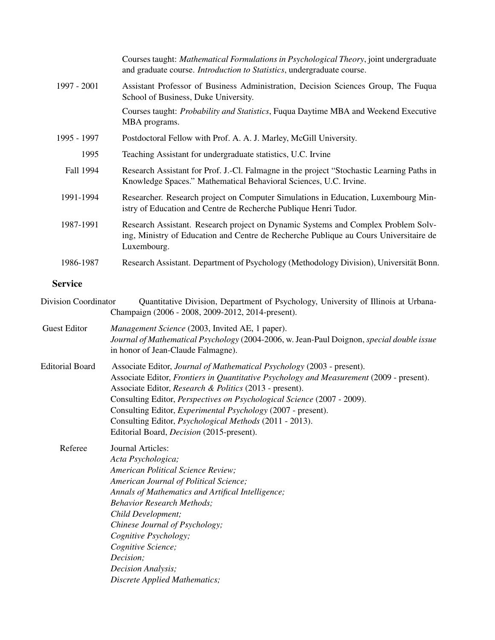|             | Courses taught: <i>Mathematical Formulations in Psychological Theory</i> , joint undergraduate<br>and graduate course. <i>Introduction to Statistics</i> , undergraduate course.          |
|-------------|-------------------------------------------------------------------------------------------------------------------------------------------------------------------------------------------|
| 1997 - 2001 | Assistant Professor of Business Administration, Decision Sciences Group, The Fuqua<br>School of Business, Duke University.                                                                |
|             | Courses taught: <i>Probability and Statistics</i> , Fuqua Daytime MBA and Weekend Executive<br>MBA programs.                                                                              |
| 1995 - 1997 | Postdoctoral Fellow with Prof. A. A. J. Marley, McGill University.                                                                                                                        |
| 1995        | Teaching Assistant for undergraduate statistics, U.C. Irvine                                                                                                                              |
| Fall 1994   | Research Assistant for Prof. J.-Cl. Falmagne in the project "Stochastic Learning Paths in<br>Knowledge Spaces." Mathematical Behavioral Sciences, U.C. Irvine.                            |
| 1991-1994   | Researcher. Research project on Computer Simulations in Education, Luxembourg Min-<br>istry of Education and Centre de Recherche Publique Henri Tudor.                                    |
| 1987-1991   | Research Assistant. Research project on Dynamic Systems and Complex Problem Solv-<br>ing, Ministry of Education and Centre de Recherche Publique au Cours Universitaire de<br>Luxembourg. |
| 1986-1987   | Research Assistant. Department of Psychology (Methodology Division), Universität Bonn.                                                                                                    |
|             |                                                                                                                                                                                           |

### Service

| <b>Division Coordinator</b> | Quantitative Division, Department of Psychology, University of Illinois at Urbana-<br>Champaign (2006 - 2008, 2009-2012, 2014-present).                                                                                                                                                                                                                                                                                                                                                               |
|-----------------------------|-------------------------------------------------------------------------------------------------------------------------------------------------------------------------------------------------------------------------------------------------------------------------------------------------------------------------------------------------------------------------------------------------------------------------------------------------------------------------------------------------------|
| <b>Guest Editor</b>         | Management Science (2003, Invited AE, 1 paper).<br>Journal of Mathematical Psychology (2004-2006, w. Jean-Paul Doignon, special double issue<br>in honor of Jean-Claude Falmagne).                                                                                                                                                                                                                                                                                                                    |
| <b>Editorial Board</b>      | Associate Editor, Journal of Mathematical Psychology (2003 - present).<br>Associate Editor, Frontiers in Quantitative Psychology and Measurement (2009 - present).<br>Associate Editor, Research & Politics (2013 - present).<br>Consulting Editor, Perspectives on Psychological Science (2007 - 2009).<br>Consulting Editor, <i>Experimental Psychology</i> (2007 - present).<br>Consulting Editor, <i>Psychological Methods</i> (2011 - 2013).<br>Editorial Board, <i>Decision</i> (2015-present). |
| Referee                     | Journal Articles:<br>Acta Psychologica;<br><b>American Political Science Review;</b><br>American Journal of Political Science;<br>Annals of Mathematics and Artifical Intelligence;<br><b>Behavior Research Methods;</b><br>Child Development;<br>Chinese Journal of Psychology;<br>Cognitive Psychology;<br>Cognitive Science;<br>Decision;<br>Decision Analysis;<br>Discrete Applied Mathematics;                                                                                                   |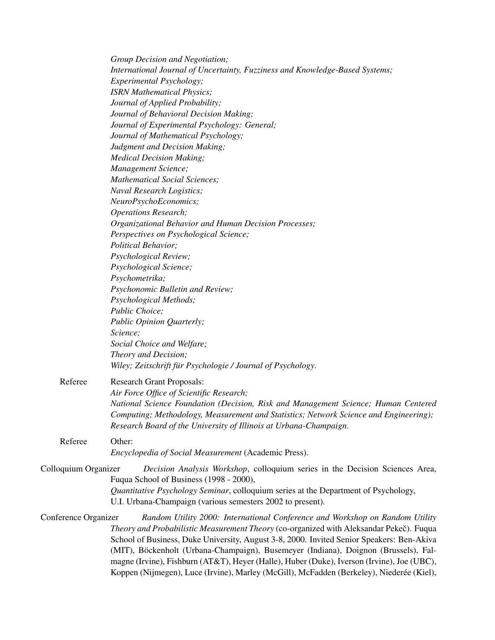|                      | Group Decision and Negotiation;                                                            |
|----------------------|--------------------------------------------------------------------------------------------|
|                      | International Journal of Uncertainty, Fuzziness and Knowledge-Based Systems;               |
|                      | Experimental Psychology;                                                                   |
|                      | <b>ISRN Mathematical Physics;</b>                                                          |
|                      | Journal of Applied Probability;                                                            |
|                      | Journal of Behavioral Decision Making;                                                     |
|                      | Journal of Experimental Psychology: General;                                               |
|                      | Journal of Mathematical Psychology;                                                        |
|                      | Judgment and Decision Making;                                                              |
|                      | <b>Medical Decision Making;</b>                                                            |
|                      | Management Science;                                                                        |
|                      | <b>Mathematical Social Sciences;</b>                                                       |
|                      | Naval Research Logistics;                                                                  |
|                      | NeuroPsychoEconomics;                                                                      |
|                      | <b>Operations Research;</b>                                                                |
|                      | Organizational Behavior and Human Decision Processes;                                      |
|                      | Perspectives on Psychological Science;                                                     |
|                      | Political Behavior;                                                                        |
|                      | Psychological Review;                                                                      |
|                      | Psychological Science;                                                                     |
|                      | Psychometrika;                                                                             |
|                      | Psychonomic Bulletin and Review;                                                           |
|                      |                                                                                            |
|                      | Psychological Methods;                                                                     |
|                      | Public Choice;                                                                             |
|                      | Public Opinion Quarterly;                                                                  |
|                      | Science;                                                                                   |
|                      | Social Choice and Welfare;                                                                 |
|                      | Theory and Decision;                                                                       |
|                      | Wiley; Zeitschrift für Psychologie / Journal of Psychology.                                |
| Referee              | <b>Research Grant Proposals:</b>                                                           |
|                      | Air Force Office of Scientific Research;                                                   |
|                      | National Science Foundation (Decision, Risk and Management Science; Human Centered         |
|                      | Computing; Methodology, Measurement and Statistics; Network Science and Engineering);      |
|                      | Research Board of the University of Illinois at Urbana-Champaign.                          |
|                      |                                                                                            |
| Referee              | Other:                                                                                     |
|                      | Encyclopedia of Social Measurement (Academic Press).                                       |
| Colloquium Organizer | Decision Analysis Workshop, colloquium series in the Decision Sciences Area,               |
|                      | Fuqua School of Business (1998 - 2000),                                                    |
|                      | Quantitative Psychology Seminar, colloquium series at the Department of Psychology,        |
|                      | U.I. Urbana-Champaign (various semesters 2002 to present).                                 |
|                      |                                                                                            |
| Conference Organizer | Random Utility 2000: International Conference and Workshop on Random Utility               |
|                      | Theory and Probabilistic Measurement Theory (co-organized with Aleksandar Pekeč). Fuqua    |
|                      | School of Business, Duke University, August 3-8, 2000. Invited Senior Speakers: Ben-Akiva  |
|                      | (MIT), Böckenholt (Urbana-Champaign), Busemeyer (Indiana), Doignon (Brussels), Fal-        |
|                      | magne (Irvine), Fishburn (AT&T), Heyer (Halle), Huber (Duke), Iverson (Irvine), Joe (UBC), |
|                      | Koppen (Nijmegen), Luce (Irvine), Marley (McGill), McFadden (Berkeley), Niederée (Kiel),   |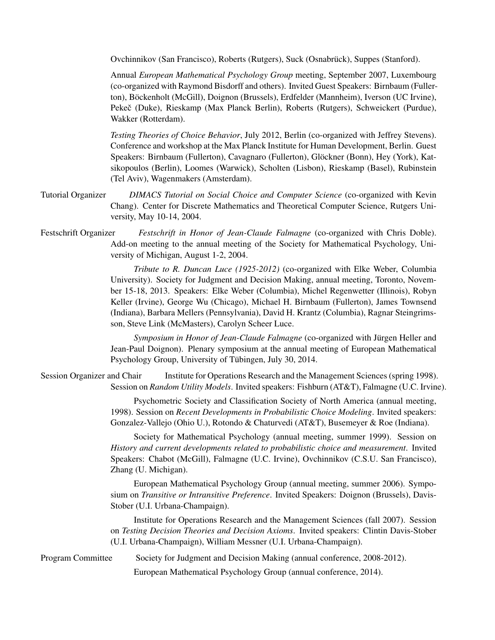Ovchinnikov (San Francisco), Roberts (Rutgers), Suck (Osnabruck), Suppes (Stanford). ¨

Annual *European Mathematical Psychology Group* meeting, September 2007, Luxembourg (co-organized with Raymond Bisdorff and others). Invited Guest Speakers: Birnbaum (Fullerton), Böckenholt (McGill), Doignon (Brussels), Erdfelder (Mannheim), Iverson (UC Irvine), Pekeč (Duke), Rieskamp (Max Planck Berlin), Roberts (Rutgers), Schweickert (Purdue), Wakker (Rotterdam).

*Testing Theories of Choice Behavior*, July 2012, Berlin (co-organized with Jeffrey Stevens). Conference and workshop at the Max Planck Institute for Human Development, Berlin. Guest Speakers: Birnbaum (Fullerton), Cavagnaro (Fullerton), Glockner (Bonn), Hey (York), Kat- ¨ sikopoulos (Berlin), Loomes (Warwick), Scholten (Lisbon), Rieskamp (Basel), Rubinstein (Tel Aviv), Wagenmakers (Amsterdam).

- Tutorial Organizer *DIMACS Tutorial on Social Choice and Computer Science* (co-organized with Kevin Chang). Center for Discrete Mathematics and Theoretical Computer Science, Rutgers University, May 10-14, 2004.
- Festschrift Organizer *Festschrift in Honor of Jean-Claude Falmagne* (co-organized with Chris Doble). Add-on meeting to the annual meeting of the Society for Mathematical Psychology, University of Michigan, August 1-2, 2004.

*Tribute to R. Duncan Luce (1925-2012)* (co-organized with Elke Weber, Columbia University). Society for Judgment and Decision Making, annual meeting, Toronto, November 15-18, 2013. Speakers: Elke Weber (Columbia), Michel Regenwetter (Illinois), Robyn Keller (Irvine), George Wu (Chicago), Michael H. Birnbaum (Fullerton), James Townsend (Indiana), Barbara Mellers (Pennsylvania), David H. Krantz (Columbia), Ragnar Steingrimsson, Steve Link (McMasters), Carolyn Scheer Luce.

*Symposium in Honor of Jean-Claude Falmagne* (co-organized with Jürgen Heller and Jean-Paul Doignon). Plenary symposium at the annual meeting of European Mathematical Psychology Group, University of Tübingen, July 30, 2014.

Session Organizer and Chair Institute for Operations Research and the Management Sciences (spring 1998). Session on *Random Utility Models*. Invited speakers: Fishburn (AT&T), Falmagne (U.C. Irvine).

> Psychometric Society and Classification Society of North America (annual meeting, 1998). Session on *Recent Developments in Probabilistic Choice Modeling*. Invited speakers: Gonzalez-Vallejo (Ohio U.), Rotondo & Chaturvedi (AT&T), Busemeyer & Roe (Indiana).

> Society for Mathematical Psychology (annual meeting, summer 1999). Session on *History and current developments related to probabilistic choice and measurement*. Invited Speakers: Chabot (McGill), Falmagne (U.C. Irvine), Ovchinnikov (C.S.U. San Francisco), Zhang (U. Michigan).

> European Mathematical Psychology Group (annual meeting, summer 2006). Symposium on *Transitive or Intransitive Preference*. Invited Speakers: Doignon (Brussels), Davis-Stober (U.I. Urbana-Champaign).

> Institute for Operations Research and the Management Sciences (fall 2007). Session on *Testing Decision Theories and Decision Axioms*. Invited speakers: Clintin Davis-Stober (U.I. Urbana-Champaign), William Messner (U.I. Urbana-Champaign).

Program Committee Society for Judgment and Decision Making (annual conference, 2008-2012).

European Mathematical Psychology Group (annual conference, 2014).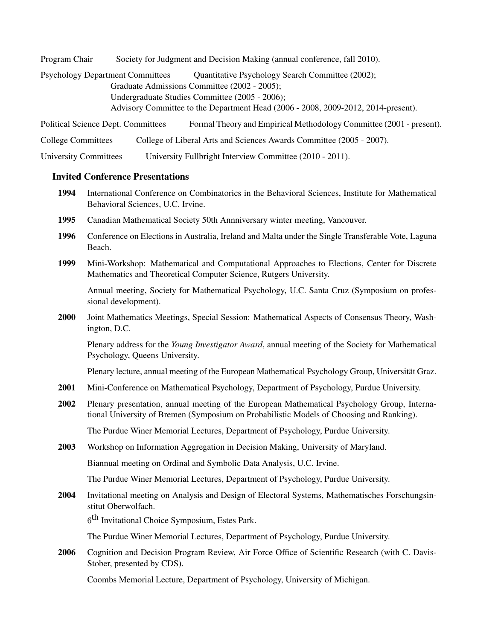Program Chair Society for Judgment and Decision Making (annual conference, fall 2010).

Psychology Department Committees Quantitative Psychology Search Committee (2002); Graduate Admissions Committee (2002 - 2005); Undergraduate Studies Committee (2005 - 2006); Advisory Committee to the Department Head (2006 - 2008, 2009-2012, 2014-present).

Political Science Dept. Committees Formal Theory and Empirical Methodology Committee (2001 - present).

College Committees College of Liberal Arts and Sciences Awards Committee (2005 - 2007).

University Committees University Fullbright Interview Committee (2010 - 2011).

### Invited Conference Presentations

- 1994 International Conference on Combinatorics in the Behavioral Sciences, Institute for Mathematical Behavioral Sciences, U.C. Irvine.
- 1995 Canadian Mathematical Society 50th Annniversary winter meeting, Vancouver.
- 1996 Conference on Elections in Australia, Ireland and Malta under the Single Transferable Vote, Laguna Beach.
- 1999 Mini-Workshop: Mathematical and Computational Approaches to Elections, Center for Discrete Mathematics and Theoretical Computer Science, Rutgers University.

Annual meeting, Society for Mathematical Psychology, U.C. Santa Cruz (Symposium on professional development).

2000 Joint Mathematics Meetings, Special Session: Mathematical Aspects of Consensus Theory, Washington, D.C.

Plenary address for the *Young Investigator Award*, annual meeting of the Society for Mathematical Psychology, Queens University.

Plenary lecture, annual meeting of the European Mathematical Psychology Group, Universität Graz.

- 2001 Mini-Conference on Mathematical Psychology, Department of Psychology, Purdue University.
- 2002 Plenary presentation, annual meeting of the European Mathematical Psychology Group, International University of Bremen (Symposium on Probabilistic Models of Choosing and Ranking).

The Purdue Winer Memorial Lectures, Department of Psychology, Purdue University.

2003 Workshop on Information Aggregation in Decision Making, University of Maryland.

Biannual meeting on Ordinal and Symbolic Data Analysis, U.C. Irvine.

The Purdue Winer Memorial Lectures, Department of Psychology, Purdue University.

2004 Invitational meeting on Analysis and Design of Electoral Systems, Mathematisches Forschungsinstitut Oberwolfach.

6<sup>th</sup> Invitational Choice Symposium, Estes Park.

The Purdue Winer Memorial Lectures, Department of Psychology, Purdue University.

2006 Cognition and Decision Program Review, Air Force Office of Scientific Research (with C. Davis-Stober, presented by CDS).

Coombs Memorial Lecture, Department of Psychology, University of Michigan.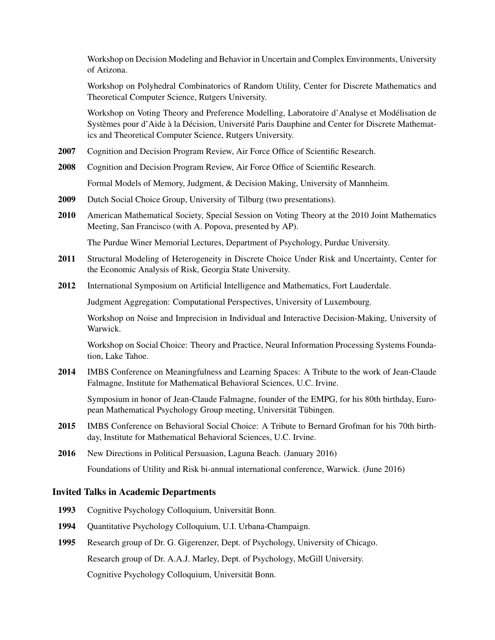Workshop on Decision Modeling and Behavior in Uncertain and Complex Environments, University of Arizona.

Workshop on Polyhedral Combinatorics of Random Utility, Center for Discrete Mathematics and Theoretical Computer Science, Rutgers University.

Workshop on Voting Theory and Preference Modelling, Laboratoire d'Analyse et Modelisation de ´ Systèmes pour d'Aide à la Décision, Université Paris Dauphine and Center for Discrete Mathematics and Theoretical Computer Science, Rutgers University.

- 2007 Cognition and Decision Program Review, Air Force Office of Scientific Research.
- 2008 Cognition and Decision Program Review, Air Force Office of Scientific Research.

Formal Models of Memory, Judgment, & Decision Making, University of Mannheim.

- 2009 Dutch Social Choice Group, University of Tilburg (two presentations).
- 2010 American Mathematical Society, Special Session on Voting Theory at the 2010 Joint Mathematics Meeting, San Francisco (with A. Popova, presented by AP).

The Purdue Winer Memorial Lectures, Department of Psychology, Purdue University.

- 2011 Structural Modeling of Heterogeneity in Discrete Choice Under Risk and Uncertainty, Center for the Economic Analysis of Risk, Georgia State University.
- 2012 International Symposium on Artificial Intelligence and Mathematics, Fort Lauderdale.

Judgment Aggregation: Computational Perspectives, University of Luxembourg.

Workshop on Noise and Imprecision in Individual and Interactive Decision-Making, University of Warwick.

Workshop on Social Choice: Theory and Practice, Neural Information Processing Systems Foundation, Lake Tahoe.

2014 IMBS Conference on Meaningfulness and Learning Spaces: A Tribute to the work of Jean-Claude Falmagne, Institute for Mathematical Behavioral Sciences, U.C. Irvine.

Symposium in honor of Jean-Claude Falmagne, founder of the EMPG, for his 80th birthday, European Mathematical Psychology Group meeting, Universität Tübingen.

2015 IMBS Conference on Behavioral Social Choice: A Tribute to Bernard Grofman for his 70th birthday, Institute for Mathematical Behavioral Sciences, U.C. Irvine.

2016 New Directions in Political Persuasion, Laguna Beach. (January 2016) Foundations of Utility and Risk bi-annual international conference, Warwick. (June 2016)

### Invited Talks in Academic Departments

- 1993 Cognitive Psychology Colloquium, Universität Bonn.
- 1994 Quantitative Psychology Colloquium, U.I. Urbana-Champaign.
- 1995 Research group of Dr. G. Gigerenzer, Dept. of Psychology, University of Chicago.

Research group of Dr. A.A.J. Marley, Dept. of Psychology, McGill University.

Cognitive Psychology Colloquium, Universität Bonn.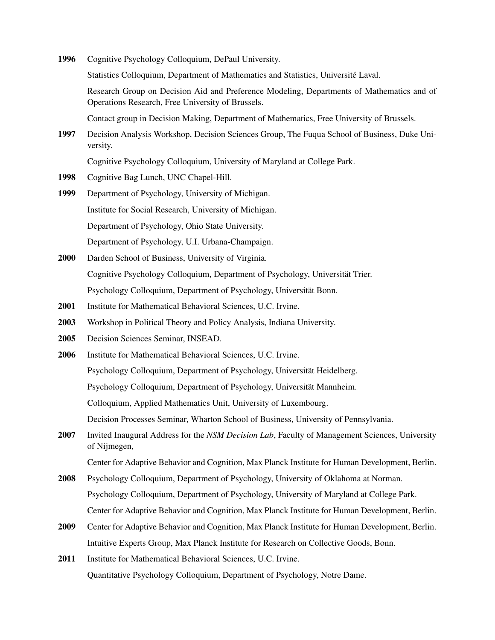1996 Cognitive Psychology Colloquium, DePaul University.

Statistics Colloquium, Department of Mathematics and Statistics, Université Laval.

Research Group on Decision Aid and Preference Modeling, Departments of Mathematics and of Operations Research, Free University of Brussels.

Contact group in Decision Making, Department of Mathematics, Free University of Brussels.

1997 Decision Analysis Workshop, Decision Sciences Group, The Fuqua School of Business, Duke University.

Cognitive Psychology Colloquium, University of Maryland at College Park.

- 1998 Cognitive Bag Lunch, UNC Chapel-Hill.
- 1999 Department of Psychology, University of Michigan. Institute for Social Research, University of Michigan. Department of Psychology, Ohio State University. Department of Psychology, U.I. Urbana-Champaign.
- 2000 Darden School of Business, University of Virginia. Cognitive Psychology Colloquium, Department of Psychology, Universität Trier. Psychology Colloquium, Department of Psychology, Universität Bonn.
- 2001 Institute for Mathematical Behavioral Sciences, U.C. Irvine.
- 2003 Workshop in Political Theory and Policy Analysis, Indiana University.
- 2005 Decision Sciences Seminar, INSEAD.
- 2006 Institute for Mathematical Behavioral Sciences, U.C. Irvine. Psychology Colloquium, Department of Psychology, Universität Heidelberg. Psychology Colloquium, Department of Psychology, Universität Mannheim. Colloquium, Applied Mathematics Unit, University of Luxembourg. Decision Processes Seminar, Wharton School of Business, University of Pennsylvania.
- 2007 Invited Inaugural Address for the *NSM Decision Lab*, Faculty of Management Sciences, University of Nijmegen,

Center for Adaptive Behavior and Cognition, Max Planck Institute for Human Development, Berlin.

- 2008 Psychology Colloquium, Department of Psychology, University of Oklahoma at Norman. Psychology Colloquium, Department of Psychology, University of Maryland at College Park. Center for Adaptive Behavior and Cognition, Max Planck Institute for Human Development, Berlin.
- 2009 Center for Adaptive Behavior and Cognition, Max Planck Institute for Human Development, Berlin. Intuitive Experts Group, Max Planck Institute for Research on Collective Goods, Bonn.
- 2011 Institute for Mathematical Behavioral Sciences, U.C. Irvine. Quantitative Psychology Colloquium, Department of Psychology, Notre Dame.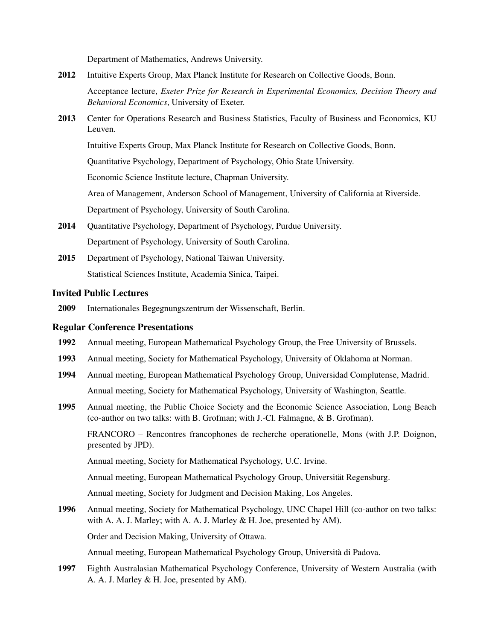Department of Mathematics, Andrews University.

- 2012 Intuitive Experts Group, Max Planck Institute for Research on Collective Goods, Bonn. Acceptance lecture, *Exeter Prize for Research in Experimental Economics, Decision Theory and Behavioral Economics*, University of Exeter.
- 2013 Center for Operations Research and Business Statistics, Faculty of Business and Economics, KU Leuven.

Intuitive Experts Group, Max Planck Institute for Research on Collective Goods, Bonn.

Quantitative Psychology, Department of Psychology, Ohio State University.

Economic Science Institute lecture, Chapman University.

Area of Management, Anderson School of Management, University of California at Riverside.

Department of Psychology, University of South Carolina.

- 2014 Quantitative Psychology, Department of Psychology, Purdue University. Department of Psychology, University of South Carolina.
- 2015 Department of Psychology, National Taiwan University. Statistical Sciences Institute, Academia Sinica, Taipei.

### Invited Public Lectures

2009 Internationales Begegnungszentrum der Wissenschaft, Berlin.

#### Regular Conference Presentations

- 1992 Annual meeting, European Mathematical Psychology Group, the Free University of Brussels.
- 1993 Annual meeting, Society for Mathematical Psychology, University of Oklahoma at Norman.
- 1994 Annual meeting, European Mathematical Psychology Group, Universidad Complutense, Madrid. Annual meeting, Society for Mathematical Psychology, University of Washington, Seattle.
- 1995 Annual meeting, the Public Choice Society and the Economic Science Association, Long Beach (co-author on two talks: with B. Grofman; with J.-Cl. Falmagne, & B. Grofman).

FRANCORO – Rencontres francophones de recherche operationelle, Mons (with J.P. Doignon, presented by JPD).

Annual meeting, Society for Mathematical Psychology, U.C. Irvine.

Annual meeting, European Mathematical Psychology Group, Universitat Regensburg. ¨

Annual meeting, Society for Judgment and Decision Making, Los Angeles.

1996 Annual meeting, Society for Mathematical Psychology, UNC Chapel Hill (co-author on two talks: with A. A. J. Marley; with A. A. J. Marley & H. Joe, presented by AM).

Order and Decision Making, University of Ottawa.

Annual meeting, European Mathematical Psychology Group, Universita di Padova. `

1997 Eighth Australasian Mathematical Psychology Conference, University of Western Australia (with A. A. J. Marley & H. Joe, presented by AM).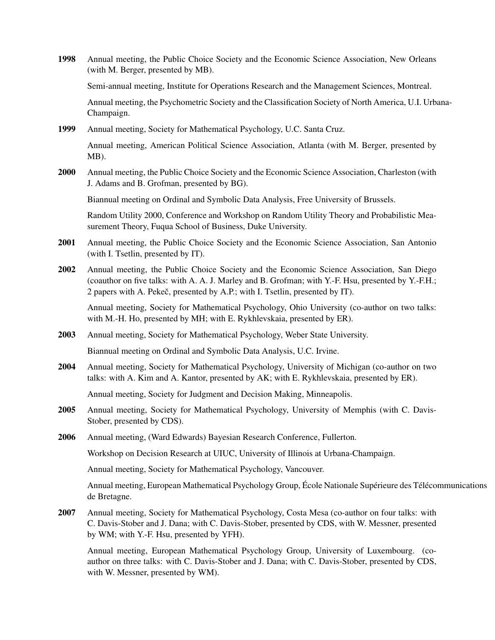1998 Annual meeting, the Public Choice Society and the Economic Science Association, New Orleans (with M. Berger, presented by MB).

Semi-annual meeting, Institute for Operations Research and the Management Sciences, Montreal.

Annual meeting, the Psychometric Society and the Classification Society of North America, U.I. Urbana-Champaign.

- 1999 Annual meeting, Society for Mathematical Psychology, U.C. Santa Cruz. Annual meeting, American Political Science Association, Atlanta (with M. Berger, presented by MB).
- 2000 Annual meeting, the Public Choice Society and the Economic Science Association, Charleston (with J. Adams and B. Grofman, presented by BG).

Biannual meeting on Ordinal and Symbolic Data Analysis, Free University of Brussels.

Random Utility 2000, Conference and Workshop on Random Utility Theory and Probabilistic Measurement Theory, Fuqua School of Business, Duke University.

- 2001 Annual meeting, the Public Choice Society and the Economic Science Association, San Antonio (with I. Tsetlin, presented by IT).
- 2002 Annual meeting, the Public Choice Society and the Economic Science Association, San Diego (coauthor on five talks: with A. A. J. Marley and B. Grofman; with Y.-F. Hsu, presented by Y.-F.H.; 2 papers with A. Pekeč, presented by A.P.; with I. Tsetlin, presented by IT).

Annual meeting, Society for Mathematical Psychology, Ohio University (co-author on two talks: with M.-H. Ho, presented by MH; with E. Rykhlevskaia, presented by ER).

2003 Annual meeting, Society for Mathematical Psychology, Weber State University.

Biannual meeting on Ordinal and Symbolic Data Analysis, U.C. Irvine.

2004 Annual meeting, Society for Mathematical Psychology, University of Michigan (co-author on two talks: with A. Kim and A. Kantor, presented by AK; with E. Rykhlevskaia, presented by ER).

Annual meeting, Society for Judgment and Decision Making, Minneapolis.

- 2005 Annual meeting, Society for Mathematical Psychology, University of Memphis (with C. Davis-Stober, presented by CDS).
- 2006 Annual meeting, (Ward Edwards) Bayesian Research Conference, Fullerton.

Workshop on Decision Research at UIUC, University of Illinois at Urbana-Champaign.

Annual meeting, Society for Mathematical Psychology, Vancouver.

Annual meeting, European Mathematical Psychology Group, École Nationale Supérieure des Télécommunications de Bretagne.

2007 Annual meeting, Society for Mathematical Psychology, Costa Mesa (co-author on four talks: with C. Davis-Stober and J. Dana; with C. Davis-Stober, presented by CDS, with W. Messner, presented by WM; with Y.-F. Hsu, presented by YFH).

Annual meeting, European Mathematical Psychology Group, University of Luxembourg. (coauthor on three talks: with C. Davis-Stober and J. Dana; with C. Davis-Stober, presented by CDS, with W. Messner, presented by WM).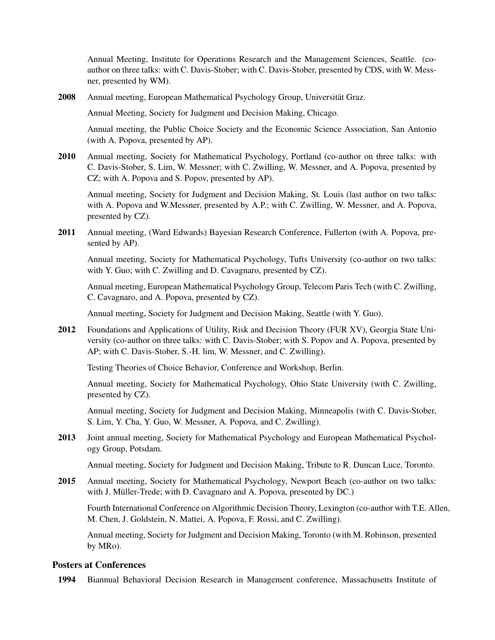Annual Meeting, Institute for Operations Research and the Management Sciences, Seattle. (coauthor on three talks: with C. Davis-Stober; with C. Davis-Stober, presented by CDS, with W. Messner, presented by WM).

2008 Annual meeting, European Mathematical Psychology Group, Universität Graz.

Annual Meeting, Society for Judgment and Decision Making, Chicago.

Annual meeting, the Public Choice Society and the Economic Science Association, San Antonio (with A. Popova, presented by AP).

2010 Annual meeting, Society for Mathematical Psychology, Portland (co-author on three talks: with C. Davis-Stober, S. Lim, W. Messner; with C. Zwilling, W. Messner, and A. Popova, presented by CZ; with A. Popova and S. Popov, presented by AP).

Annual meeting, Society for Judgment and Decision Making, St. Louis (last author on two talks: with A. Popova and W.Messner, presented by A.P.; with C. Zwilling, W. Messner, and A. Popova, presented by CZ).

2011 Annual meeting, (Ward Edwards) Bayesian Research Conference, Fullerton (with A. Popova, presented by AP).

Annual meeting, Society for Mathematical Psychology, Tufts University (co-author on two talks: with Y. Guo; with C. Zwilling and D. Cavagnaro, presented by CZ).

Annual meeting, European Mathematical Psychology Group, Telecom Paris Tech (with C. Zwilling, C. Cavagnaro, and A. Popova, presented by CZ).

Annual meeting, Society for Judgment and Decision Making, Seattle (with Y. Guo).

2012 Foundations and Applications of Utility, Risk and Decision Theory (FUR XV), Georgia State University (co-author on three talks: with C. Davis-Stober; with S. Popov and A. Popova, presented by AP; with C. Davis-Stober, S.-H. lim, W. Messner, and C. Zwilling).

Testing Theories of Choice Behavior, Conference and Workshop, Berlin.

Annual meeting, Society for Mathematical Psychology, Ohio State University (with C. Zwilling, presented by CZ).

Annual meeting, Society for Judgment and Decision Making, Minneapolis (with C. Davis-Stober, S. Lim, Y. Cha, Y. Guo, W. Messner, A. Popova, and C. Zwilling).

2013 Joint annual meeting, Society for Mathematical Psychology and European Mathematical Psychology Group, Potsdam.

Annual meeting, Society for Judgment and Decision Making, Tribute to R. Duncan Luce, Toronto.

2015 Annual meeting, Society for Mathematical Psychology, Newport Beach (co-author on two talks: with J. Müller-Trede; with D. Cavagnaro and A. Popova, presented by DC.)

Fourth International Conference on Algorithmic Decision Theory, Lexington (co-author with T.E. Allen, M. Chen, J. Goldstein, N. Mattei, A. Popova, F. Rossi, and C. Zwilling).

Annual meeting, Society for Judgment and Decision Making, Toronto (with M. Robinson, presented by MRo).

### Posters at Conferences

1994 Biannual Behavioral Decision Research in Management conference, Massachusetts Institute of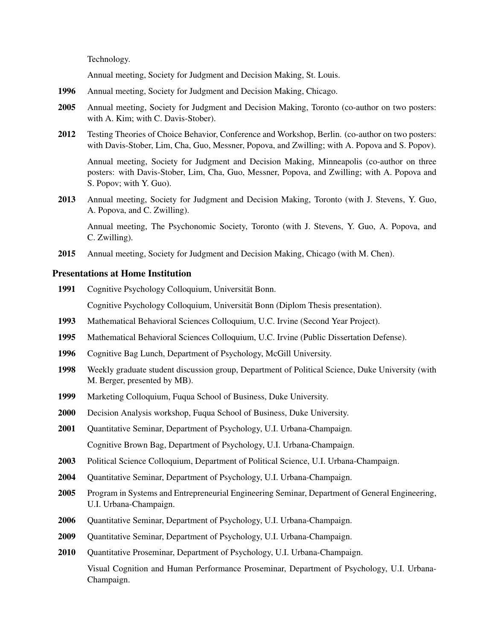Technology.

Annual meeting, Society for Judgment and Decision Making, St. Louis.

- 1996 Annual meeting, Society for Judgment and Decision Making, Chicago.
- 2005 Annual meeting, Society for Judgment and Decision Making, Toronto (co-author on two posters: with A. Kim; with C. Davis-Stober).
- 2012 Testing Theories of Choice Behavior, Conference and Workshop, Berlin. (co-author on two posters: with Davis-Stober, Lim, Cha, Guo, Messner, Popova, and Zwilling; with A. Popova and S. Popov).

Annual meeting, Society for Judgment and Decision Making, Minneapolis (co-author on three posters: with Davis-Stober, Lim, Cha, Guo, Messner, Popova, and Zwilling; with A. Popova and S. Popov; with Y. Guo).

2013 Annual meeting, Society for Judgment and Decision Making, Toronto (with J. Stevens, Y. Guo, A. Popova, and C. Zwilling).

Annual meeting, The Psychonomic Society, Toronto (with J. Stevens, Y. Guo, A. Popova, and C. Zwilling).

2015 Annual meeting, Society for Judgment and Decision Making, Chicago (with M. Chen).

#### Presentations at Home Institution

1991 Cognitive Psychology Colloquium, Universität Bonn.

Cognitive Psychology Colloquium, Universitat Bonn (Diplom Thesis presentation). ¨

- 1993 Mathematical Behavioral Sciences Colloquium, U.C. Irvine (Second Year Project).
- 1995 Mathematical Behavioral Sciences Colloquium, U.C. Irvine (Public Dissertation Defense).
- 1996 Cognitive Bag Lunch, Department of Psychology, McGill University.
- 1998 Weekly graduate student discussion group, Department of Political Science, Duke University (with M. Berger, presented by MB).
- 1999 Marketing Colloquium, Fuqua School of Business, Duke University.
- 2000 Decision Analysis workshop, Fuqua School of Business, Duke University.
- 2001 Ouantitative Seminar, Department of Psychology, U.I. Urbana-Champaign. Cognitive Brown Bag, Department of Psychology, U.I. Urbana-Champaign.
- 2003 Political Science Colloquium, Department of Political Science, U.I. Urbana-Champaign.
- 2004 Quantitative Seminar, Department of Psychology, U.I. Urbana-Champaign.
- 2005 Program in Systems and Entrepreneurial Engineering Seminar, Department of General Engineering, U.I. Urbana-Champaign.
- 2006 Quantitative Seminar, Department of Psychology, U.I. Urbana-Champaign.
- 2009 Quantitative Seminar, Department of Psychology, U.I. Urbana-Champaign.
- 2010 Quantitative Proseminar, Department of Psychology, U.I. Urbana-Champaign.

Visual Cognition and Human Performance Proseminar, Department of Psychology, U.I. Urbana-Champaign.